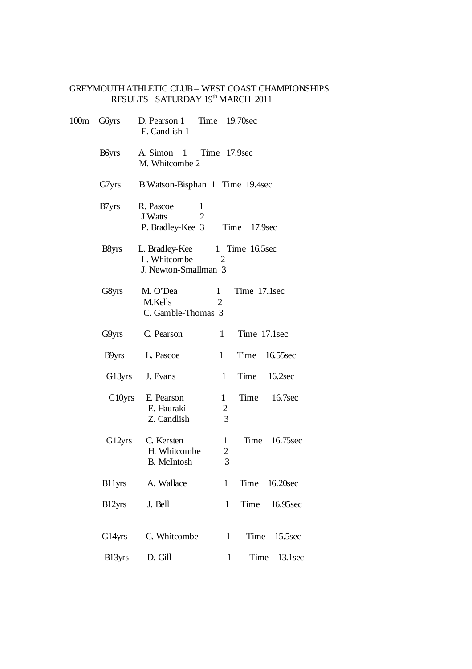## GREYMOUTH ATHLETIC CLUB – WEST COAST CHAMPIONSHIPS RESULTS SATURDAY 19th MARCH 2011

| 100m | G6yrs             | D. Pearson 1 Time 19.70sec<br>E. Candlish 1                     |                                     |                             |               |
|------|-------------------|-----------------------------------------------------------------|-------------------------------------|-----------------------------|---------------|
|      | <b>B</b> byrs     | A. Simon 1 Time 17.9sec<br>M. Whitcombe 2                       |                                     |                             |               |
|      | G7yrs             | B Watson-Bisphan 1 Time 19.4sec                                 |                                     |                             |               |
|      | B7yrs             | R. Pascoe<br>1<br>$\overline{2}$<br>J.Watts<br>P. Bradley-Kee 3 |                                     | Time<br>17.9 <sub>sec</sub> |               |
|      | B <sub>8yrs</sub> | L. Bradley-Kee<br>L. Whitcombe<br>J. Newton-Smallman 3          | 2                                   | 1 Time 16.5sec              |               |
|      | G8yrs             | M. O'Dea<br>M.Kells<br>C. Gamble-Thomas 3                       | $\mathbf{1}$<br>$\overline{2}$      | Time 17.1sec                |               |
|      | G9yrs             | C. Pearson                                                      | 1                                   | Time 17.1sec                |               |
|      | B9yrs             | L. Pascoe                                                       | $\mathbf{1}$                        | Time 16.55sec               |               |
|      | G13yrs            | J. Evans                                                        | 1                                   | Time                        | 16.2sec       |
|      | G10yrs            | E. Pearson<br>E. Hauraki<br>Z. Candlish                         | $\mathbf{1}$<br>$\overline{c}$<br>3 | Time                        | 16.7sec       |
|      | G12yrs            | C. Kersten<br>H. Whitcombe<br><b>B.</b> McIntosh                | 1<br>$\overline{\mathbf{c}}$<br>3   | Time                        | 16.75sec      |
|      |                   | B11yrs A. Wallace                                               | $\mathbf{1}$                        |                             | Time 16.20sec |
|      | B12yrs            | J. Bell                                                         | $\mathbf{1}$                        | Time                        | 16.95sec      |
|      | G14yrs            | C. Whitcombe                                                    | $\mathbf{1}$                        | Time                        | 15.5sec       |
|      | B13yrs            | D. Gill                                                         | $\mathbf{1}$                        |                             | Time 13.1sec  |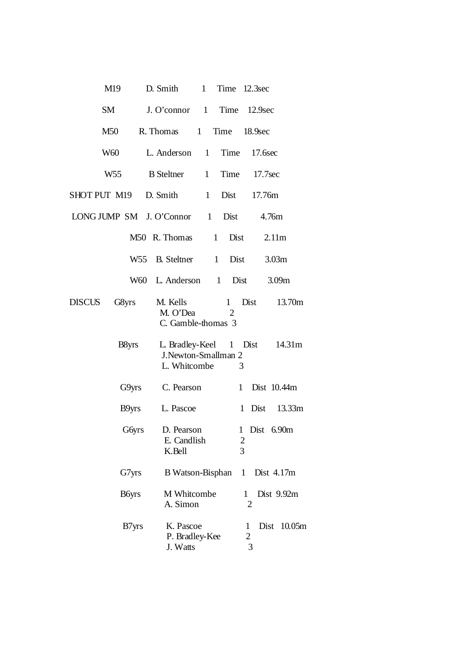| M19                    | 1 Time 12.3sec<br>D. Smith                                                          |
|------------------------|-------------------------------------------------------------------------------------|
| SM                     | J. O'connor 1 Time 12.9sec                                                          |
| M50                    | R. Thomas 1<br>Time 18.9sec                                                         |
| W60                    | Time 17.6sec<br>L. Anderson 1                                                       |
|                        | W55 B Steltner 1<br>Time 17.7sec                                                    |
| SHOT PUT M19 D. Smith  | Dist<br>1<br>17.76m                                                                 |
|                        | LONG JUMP SM J. O'Connor 1 Dist 4.76m                                               |
|                        | M50 R. Thomas 1<br>Dist<br>2.11m                                                    |
|                        | W55 B. Steltner 1 Dist<br>3.03m                                                     |
|                        | W60 L. Anderson 1 Dist<br>3.09 <sub>m</sub>                                         |
| <b>DISCUS</b><br>G8yrs | Dist<br>M. Kells<br>13.70m<br>1<br>M. O'Dea<br>$\overline{2}$<br>C. Gamble-thomas 3 |
| B <sub>8yrs</sub>      | L. Bradley-Keel 1 Dist 14.31m<br>J.Newton-Smallman 2<br>L. Whitcombe<br>3           |
|                        | G9yrs C. Pearson 1 Dist 10.44m                                                      |
|                        | B9yrs L. Pascoe<br>1 Dist 13.33m                                                    |
| G6yrs                  | D. Pearson<br>1 Dist 6.90m<br>E. Candlish<br>$\mathbf{z}$<br>3<br>K.Bell            |
| G7yrs                  | Dist 4.17m<br>B Watson-Bisphan<br>$\mathbf{1}$                                      |
| B6yrs                  | M Whitcombe<br>Dist 9.92m<br>1<br>A. Simon<br>$\overline{2}$                        |
| B7yrs                  | K. Pascoe<br>Dist 10.05m<br>1<br>P. Bradley-Kee<br>2<br>3<br>J. Watts               |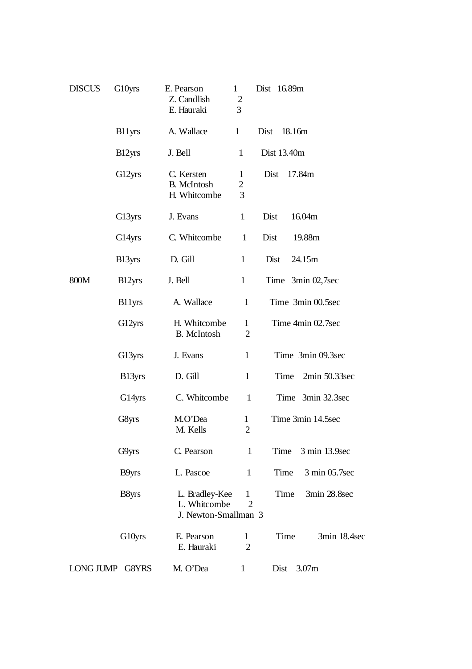| <b>DISCUS</b> | G10yrs          | E. Pearson<br>Z. Candlish<br>E. Hauraki                | $\mathbf{1}$<br>$\overline{c}$<br>3 | Dist 16.89m           |
|---------------|-----------------|--------------------------------------------------------|-------------------------------------|-----------------------|
|               | B11yrs          | A. Wallace                                             | $\mathbf{1}$                        | Dist<br>18.16m        |
|               | B12yrs          | J. Bell                                                | $\mathbf{1}$                        | Dist 13.40m           |
|               | G12yrs          | C. Kersten<br><b>B.</b> McIntosh<br>H. Whitcombe       | 1<br>$\overline{c}$<br>3            | Dist<br>17.84m        |
|               | G13yrs          | J. Evans                                               | $\mathbf{1}$                        | Dist<br>16.04m        |
|               | G14yrs          | C. Whitcombe                                           | $\mathbf{1}$                        | Dist<br>19.88m        |
|               | B13yrs          | D. Gill                                                | $\mathbf{1}$                        | 24.15m<br>Dist        |
| 800M          | B12yrs          | J. Bell                                                | $\mathbf{1}$                        | Time $3min\ 02,7sec$  |
|               | B11yrs          | A. Wallace                                             | $\mathbf{1}$                        | Time 3min 00.5sec     |
|               | G12yrs          | H. Whitcombe<br><b>B.</b> McIntosh                     | $\mathbf{1}$<br>$\overline{2}$      | Time 4min 02.7sec     |
|               | G13yrs          | J. Evans                                               | 1                                   | Time 3min 09.3sec     |
|               | B13yrs          | D. Gill                                                | $\mathbf{1}$                        | 2min 50.33sec<br>Time |
|               | G14yrs          | C. Whitcombe                                           | $\mathbf{1}$                        | 3min 32.3sec<br>Time  |
|               | G8yrs           | M.O'Dea<br>M. Kells                                    | $\mathbf{1}$<br>2                   | Time 3min 14.5sec     |
|               | G9yrs           | C. Pearson                                             | $\mathbf{1}$                        | 3 min 13.9sec<br>Time |
|               | B9yrs           | L. Pascoe                                              | $\mathbf{1}$                        | Time<br>3 min 05.7sec |
|               | B8yrs           | L. Bradley-Kee<br>L. Whitcombe<br>J. Newton-Smallman 3 | $\mathbf{1}$<br>$\overline{2}$      | Time<br>3min 28.8sec  |
|               | G10yrs          | E. Pearson<br>E. Hauraki                               | $\mathbf{1}$<br>$\overline{2}$      | Time<br>3min 18.4sec  |
|               | LONG JUMP G8YRS | M. O'Dea                                               | $\mathbf{1}$                        | 3.07m<br>Dist         |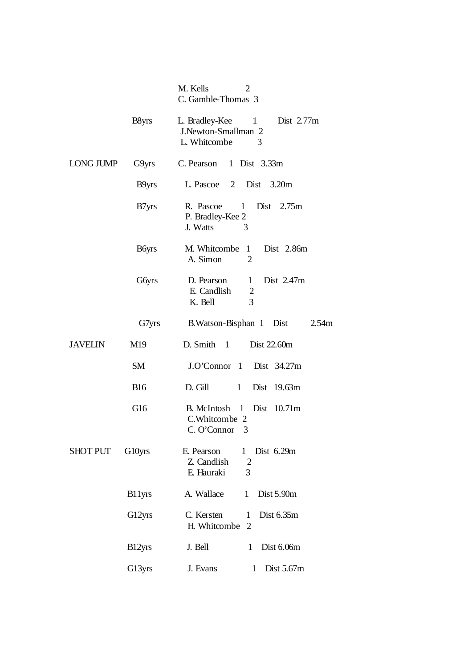|                  |                   | M. Kells<br>$\overline{2}$<br>C. Gamble-Thomas 3                                          |
|------------------|-------------------|-------------------------------------------------------------------------------------------|
|                  | B <sub>8yrs</sub> | Dist 2.77m<br>L. Bradley-Kee 1<br>J.Newton-Smallman 2<br>L. Whitcombe<br>3                |
| <b>LONG JUMP</b> | G9yrs             | C. Pearson 1 Dist 3.33m                                                                   |
|                  | B9yrs             | L. Pascoe 2<br>Dist $3.20m$                                                               |
|                  | B7yrs             | R. Pascoe<br>1 Dist 2.75m<br>P. Bradley-Kee 2<br>J. Watts<br>3                            |
|                  | <b>B</b> byrs     | M. Whitcombe 1 Dist 2.86m<br>A. Simon<br>$\overline{2}$                                   |
|                  | G6yrs             | Dist 2.47m<br>D. Pearson<br>$\mathbf{1}$<br>E. Candlish<br>$\overline{c}$<br>3<br>K. Bell |
|                  | G7yrs             | B. Watson-Bisphan 1 Dist<br>2.54m                                                         |
| <b>JAVELIN</b>   | M19               | D. Smith $1$<br>Dist 22.60m                                                               |
|                  | SM                | J.O'Connor 1 Dist 34.27m                                                                  |
|                  | <b>B</b> 16       | D. Gill<br>1<br>Dist 19.63m                                                               |
|                  | G <sub>16</sub>   | B. McIntosh 1 Dist 10.71m<br>C.Whitcombe 2<br>C. O'Connor 3                               |
| <b>SHOT PUT</b>  | G10yrs            | Dist 6.29m<br>E. Pearson<br>1<br>Z. Candlish<br>$\overline{2}$<br>E. Hauraki<br>3         |
|                  | B11yrs            | A. Wallace<br>Dist 5.90m<br>1                                                             |
|                  | G12yrs            | C. Kersten<br>Dist 6.35m<br>1<br>H. Whitcombe<br>$\overline{2}$                           |
|                  | B12yrs            | Dist 6.06m<br>J. Bell<br>1                                                                |
|                  | G13yrs            | J. Evans<br>Dist 5.67m<br>1                                                               |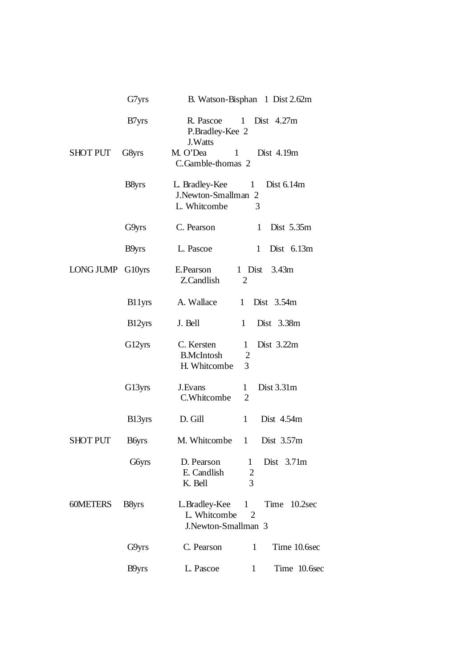|                  | G7yrs             | B. Watson-Bisphan 1 Dist 2.62m                                                                       |
|------------------|-------------------|------------------------------------------------------------------------------------------------------|
|                  | B7yrs             | R. Pascoe<br>1<br>Dist $4.27m$<br>P.Bradley-Kee 2<br>J. Watts                                        |
| <b>SHOT PUT</b>  | G8yrs             | M. O'Dea<br>Dist 4.19m<br>1<br>C.Gamble-thomas 2                                                     |
|                  | B8yrs             | L. Bradley-Kee<br>1 Dist $6.14m$<br>J.Newton-Smallman 2<br>L. Whitcombe<br>3                         |
|                  | G9yrs             | C. Pearson<br>Dist 5.35m<br>1                                                                        |
|                  | B9yrs             | L. Pascoe<br>$\mathbf{1}$<br>Dist $6.13m$                                                            |
| LONG JUMP G10yrs |                   | E.Pearson<br>1 Dist 3.43m<br>Z.Candlish<br>2                                                         |
|                  | B11yrs            | A. Wallace<br>Dist $3.54m$<br>$\mathbf{1}$                                                           |
|                  | B12yrs            | J. Bell<br>$\mathbf{1}$<br>Dist 3.38m                                                                |
|                  | G12yrs            | Dist 3.22m<br>C. Kersten<br>$\mathbf{1}$<br><b>B.McIntosh</b><br>$\overline{2}$<br>H. Whitcombe<br>3 |
|                  | G13yrs            | Dist 3.31m<br>J.Evans<br>$\mathbf{1}$<br>C.Whitcombe<br>$\overline{2}$                               |
|                  | B13yrs            | Dist 4.54m<br>D. Gill<br>$\mathbf{1}$                                                                |
| <b>SHOT PUT</b>  | <b>B</b> byrs     | M. Whitcombe<br>1<br>Dist 3.57m                                                                      |
|                  | <b>G</b> byrs     | D. Pearson<br>Dist $3.71m$<br>1<br>E. Candlish<br>$\overline{c}$<br>3<br>K. Bell                     |
| 60METERS         | B <sub>8yrs</sub> | L.Bradley-Kee 1 Time 10.2sec<br>L. Whitcombe<br>$\overline{2}$<br>J.Newton-Smallman 3                |
|                  | G9yrs             | 1<br>Time 10.6sec<br>C. Pearson                                                                      |
|                  | B9yrs             | L. Pascoe<br>Time 10.6sec<br>$\mathbf{1}$                                                            |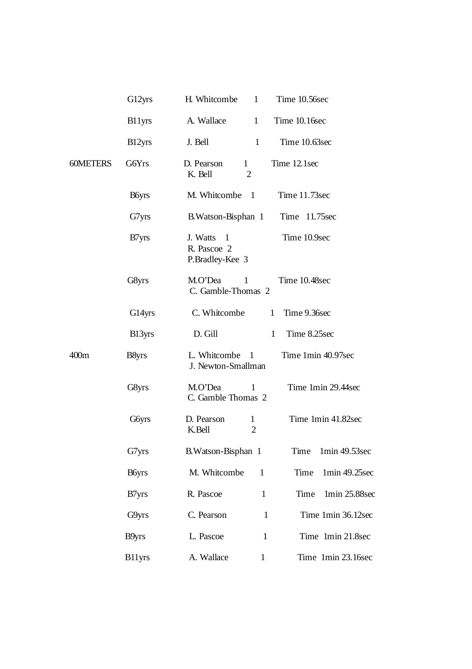|                  | G12yrs            | H. Whitcombe<br>Time 10.56sec<br>$\mathbf{1}$                                |
|------------------|-------------------|------------------------------------------------------------------------------|
|                  | B11yrs            | A. Wallace<br>Time 10.16sec<br>1                                             |
|                  | B12yrs            | Time 10.63sec<br>J. Bell<br>$\mathbf{1}$                                     |
| <b>60METERS</b>  | <b>G6Yrs</b>      | Time 12.1sec<br>D. Pearson<br>$\mathbf{1}$<br>K. Bell<br>2                   |
|                  | <b>B</b> byrs     | M. Whitcombe<br>Time 11.73sec<br>-1                                          |
|                  | G7yrs             | B. Watson-Bisphan 1<br>Time 11.75sec                                         |
|                  | B7yrs             | Time 10.9sec<br>J. Watts<br>$\overline{1}$<br>R. Pascoe 2<br>P.Bradley-Kee 3 |
|                  | G8yrs             | M.O'Dea<br>1<br>Time 10.48sec<br>C. Gamble-Thomas 2                          |
|                  | G14yrs            | C. Whitcombe<br>Time 9.36sec<br>$\mathbf{1}$                                 |
|                  | B13yrs            | D. Gill<br>Time 8.25sec<br>1                                                 |
| 400 <sub>m</sub> | B <sub>8yrs</sub> | Time 1min 40.97sec<br>L. Whitcombe 1<br>J. Newton-Smallman                   |
|                  | G8yrs             | Time 1min 29.44sec<br>M.O'Dea<br>1<br>C. Gamble Thomas 2                     |
|                  | <b>G</b> byrs     | Time 1min 41.82sec<br>D. Pearson<br>$\mathbf{1}$<br>$\overline{2}$<br>K.Bell |
|                  | G7yrs             | B. Watson-Bisphan 1<br>Time 1min 49.53sec                                    |
|                  | <b>B</b> byrs     | M. Whitcombe<br>Time<br>1min 49.25sec<br>$\mathbf{1}$                        |
|                  | B <sub>7yrs</sub> | R. Pascoe<br>$\mathbf{1}$<br>Time<br>1min 25.88sec                           |
|                  | G9yrs             | Time 1min 36.12sec<br>C. Pearson<br>$\mathbf{1}$                             |
|                  | B9yrs             | Time 1min 21.8sec<br>L. Pascoe<br>$\mathbf{1}$                               |
|                  | <b>B11yrs</b>     | A. Wallace<br>Time 1min 23.16sec<br>$\mathbf{1}$                             |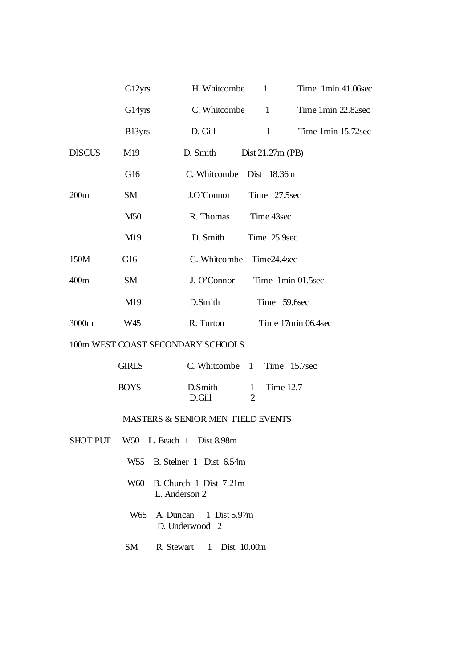|                  | G12yrs             | $\mathbf{1}$<br>H. Whitcombe<br>Time 1min 41.06sec                     |
|------------------|--------------------|------------------------------------------------------------------------|
|                  | G14yrs             | C. Whitcombe<br>$\begin{array}{c} 1 \end{array}$<br>Time 1min 22.82sec |
|                  | B <sub>13yrs</sub> | $\mathbf{1}$<br>D. Gill<br>Time 1min 15.72sec                          |
| <b>DISCUS</b>    | M19                | D. Smith<br>Dist $21.27m$ (PB)                                         |
|                  | G16                | C. Whitcombe Dist 18.36m                                               |
| 200m             | SM                 | Time 27.5sec<br>J.O'Connor                                             |
|                  | M50                | R. Thomas<br>Time 43sec                                                |
|                  | M <sub>19</sub>    | D. Smith<br>Time 25.9sec                                               |
| 150M             | G16                | C. Whitcombe Time24.4sec                                               |
| 400 <sub>m</sub> | SM                 | J. O'Connor<br>Time 1min 01.5sec                                       |
|                  | M19                | D.Smith<br>Time 59.6sec                                                |
| 3000m            | W45                | R. Turton<br>Time 17min 06.4sec                                        |

## 100m WEST COAST SECONDARY SCHOOLS

| <b>GIRLS</b> | C. Whitcombe 1 Time 15.7sec |             |
|--------------|-----------------------------|-------------|
| BOYS         | D.Smith<br>D Gill           | 1 Time 12.7 |

## MASTERS & SENIOR MEN FIELD EVENTS

- SHOT PUT W50 L. Beach 1 Dist 8.98m
	- W55 B. Stelner 1 Dist 6.54m
	- W60 B. Church 1 Dist 7.21m L. Anderson 2
	- W65 A. Duncan 1 Dist 5.97m D. Underwood 2
	- SM R. Stewart 1 Dist 10.00m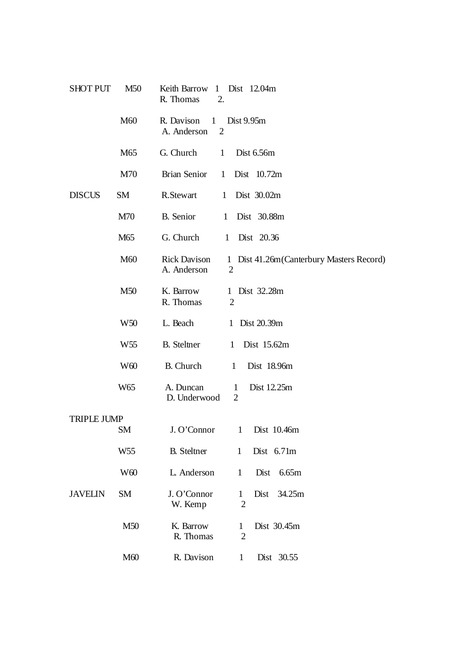| <b>SHOT PUT</b>    | M <sub>50</sub> | Keith Barrow<br>1 Dist 12.04m<br>R. Thomas<br>2.                                                                |
|--------------------|-----------------|-----------------------------------------------------------------------------------------------------------------|
|                    | M60             | R. Davison<br>$\mathbf{1}$<br>Dist 9.95m<br>A. Anderson<br>$\overline{2}$                                       |
|                    | M65             | G. Church<br>Dist 6.56m<br>1                                                                                    |
|                    | M70             | <b>Brian Senior</b><br>Dist 10.72m<br>1                                                                         |
| <b>DISCUS</b>      | <b>SM</b>       | R.Stewart<br>Dist 30.02m<br>1                                                                                   |
|                    | M70             | <b>B.</b> Senior<br>Dist 30.88m<br>$\mathbf{1}$                                                                 |
|                    | M65             | G. Church<br>1 Dist 20.36                                                                                       |
|                    | M60             | <b>Rick Davison</b><br>Dist 41.26m (Canterbury Masters Record)<br>$\mathbf{1}$<br>A. Anderson<br>$\overline{2}$ |
|                    | M50             | K. Barrow<br>Dist 32.28m<br>1<br>R. Thomas<br>$\overline{2}$                                                    |
|                    | W <sub>50</sub> | L. Beach<br>1 Dist 20.39m                                                                                       |
|                    | W <sub>55</sub> | <b>B.</b> Steltner<br>Dist 15.62m<br>1                                                                          |
|                    | W <sub>60</sub> | <b>B.</b> Church<br>Dist 18.96m<br>$\mathbf{1}$                                                                 |
|                    | W65             | A. Duncan<br>Dist 12.25m<br>$\mathbf{1}$<br>D. Underwood<br>2                                                   |
| <b>TRIPLE JUMP</b> |                 |                                                                                                                 |
|                    | <b>SM</b>       | Dist 10.46m<br>J. O'Connor<br>1                                                                                 |
|                    | W55             | <b>B.</b> Steltner<br>Dist 6.71m<br>$\mathbf{1}$                                                                |
|                    | W <sub>60</sub> | L. Anderson<br>Dist<br>6.65m<br>$\mathbf{1}$                                                                    |
| <b>JAVELIN</b>     | <b>SM</b>       | J. O'Connor<br>34.25m<br>Dist<br>$\mathbf{1}$<br>$\overline{2}$<br>W. Kemp                                      |
|                    | M50             | K. Barrow<br>Dist 30.45m<br>$\mathbf{1}$<br>R. Thomas<br>$\overline{2}$                                         |
|                    | M60             | R. Davison<br>Dist 30.55<br>$\mathbf{1}$                                                                        |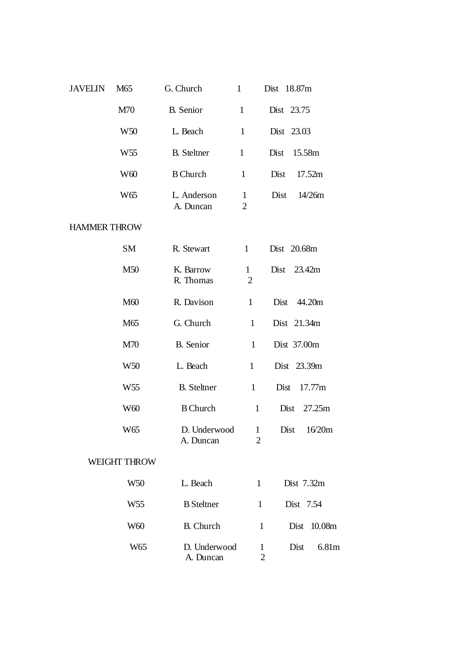| <b>JAVELIN</b>      | M65                 | G. Church                 | $\mathbf{1}$                   | Dist 18.87m                        |
|---------------------|---------------------|---------------------------|--------------------------------|------------------------------------|
|                     | M70                 | <b>B.</b> Senior          | $\mathbf{1}$                   | Dist 23.75                         |
|                     | W <sub>50</sub>     | L. Beach                  | $\mathbf{1}$                   | Dist 23.03                         |
|                     | W <sub>55</sub>     | <b>B.</b> Steltner        | $\mathbf{1}$                   | Dist<br>15.58m                     |
|                     | W <sub>60</sub>     | <b>B</b> Church           | $\mathbf{1}$                   | Dist<br>17.52m                     |
|                     | W <sub>65</sub>     | L. Anderson<br>A. Duncan  | $\mathbf{1}$<br>$\overline{2}$ | 14/26m<br>Dist                     |
| <b>HAMMER THROW</b> |                     |                           |                                |                                    |
|                     | <b>SM</b>           | R. Stewart                | $\mathbf{1}$                   | Dist 20.68m                        |
|                     | M50                 | K. Barrow<br>R. Thomas    | $\mathbf{1}$<br>$\overline{2}$ | Dist 23.42m                        |
|                     | M60                 | R. Davison                | $\mathbf{1}$                   | Dist 44.20m                        |
|                     | M65                 | G. Church                 | $\mathbf{1}$                   | Dist 21.34m                        |
|                     | M70                 | B. Senior                 | $\mathbf{1}$                   | Dist 37.00m                        |
|                     | W <sub>50</sub>     | L. Beach                  | $\mathbf{1}$                   | Dist 23.39m                        |
|                     | W <sub>55</sub>     | <b>B.</b> Steltner        | $\mathbf{1}$                   | Dist<br>17.77m                     |
|                     | W <sub>60</sub>     | <b>B</b> Church           | $\mathbf{1}$                   | 27.25m<br>Dist                     |
|                     | W <sub>65</sub>     | D. Underwood<br>A. Duncan | $\mathbf{1}$<br>2              | Dist<br>16/20m                     |
|                     | <b>WEIGHT THROW</b> |                           |                                |                                    |
|                     | W <sub>50</sub>     | L. Beach                  | 1                              | Dist 7.32m                         |
|                     | W <sub>55</sub>     | <b>B</b> Steltner         | 1                              | Dist 7.54                          |
|                     | W60                 | <b>B.</b> Church          | 1                              | Dist<br>10.08m                     |
|                     | W65                 | D. Underwood<br>A. Duncan |                                | Dist<br>6.81m<br>$\mathbf{1}$<br>2 |